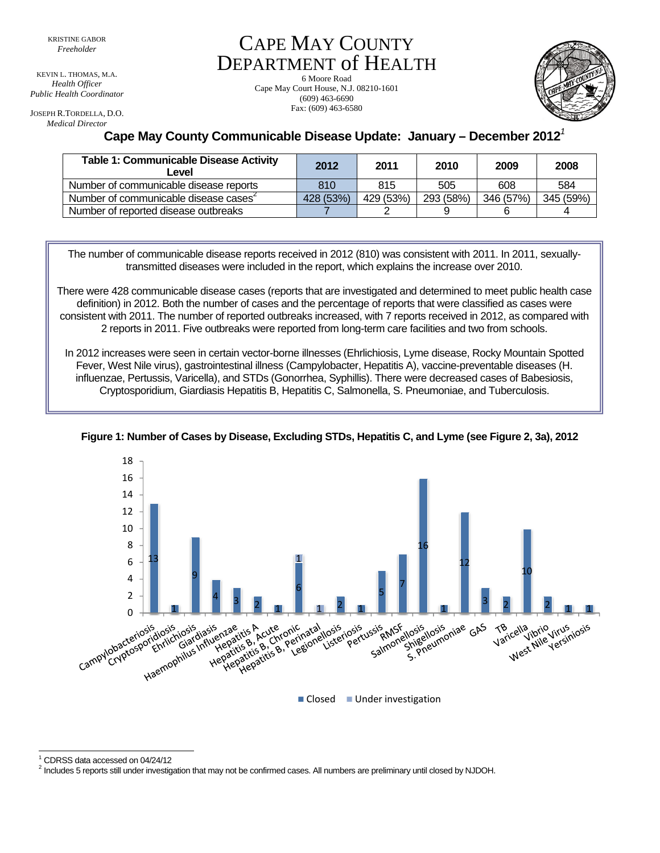KEVIN L. THOMAS, M.A. *Health Officer Public Health Coordinator* 

JOSEPH R.TORDELLA, D.O. *Medical Director*

CAPE MAY COUNTY DEPARTMENT of HEALTH

6 Moore Road Cape May Court House, N.J. 08210-1601 (609) 463-6690 Fax: (609) 463-6580



**Cape May County Communicable Disease Update: January – December 2012***<sup>1</sup>*

| <b>Table 1: Communicable Disease Activity</b><br>∟evel | 2012      | 2011      | 2010      | 2009      | 2008      |
|--------------------------------------------------------|-----------|-----------|-----------|-----------|-----------|
| Number of communicable disease reports                 | 810       | 815       | 505       | 608       | 584       |
| Number of communicable disease cases                   | 428 (53%) | 429 (53%) | 293 (58%) | 346 (57%) | 345 (59%) |
| Number of reported disease outbreaks                   |           |           |           |           |           |

The number of communicable disease reports received in 2012 (810) was consistent with 2011. In 2011, sexuallytransmitted diseases were included in the report, which explains the increase over 2010.

There were 428 communicable disease cases (reports that are investigated and determined to meet public health case definition) in 2012. Both the number of cases and the percentage of reports that were classified as cases were consistent with 2011. The number of reported outbreaks increased, with 7 reports received in 2012, as compared with 2 reports in 2011. Five outbreaks were reported from long-term care facilities and two from schools.

In 2012 increases were seen in certain vector-borne illnesses (Ehrlichiosis, Lyme disease, Rocky Mountain Spotted Fever, West Nile virus), gastrointestinal illness (Campylobacter, Hepatitis A), vaccine-preventable diseases (H. influenzae, Pertussis, Varicella), and STDs (Gonorrhea, Syphillis). There were decreased cases of Babesiosis, Cryptosporidium, Giardiasis Hepatitis B, Hepatitis C, Salmonella, S. Pneumoniae, and Tuberculosis.



**Figure 1: Number of Cases by Disease, Excluding STDs, Hepatitis C, and Lyme (see Figure 2, 3a), 2012**

l 1 CDRSS data accessed on 04/24/12

<sup>2</sup> Includes 5 reports still under investigation that may not be confirmed cases. All numbers are preliminary until closed by NJDOH.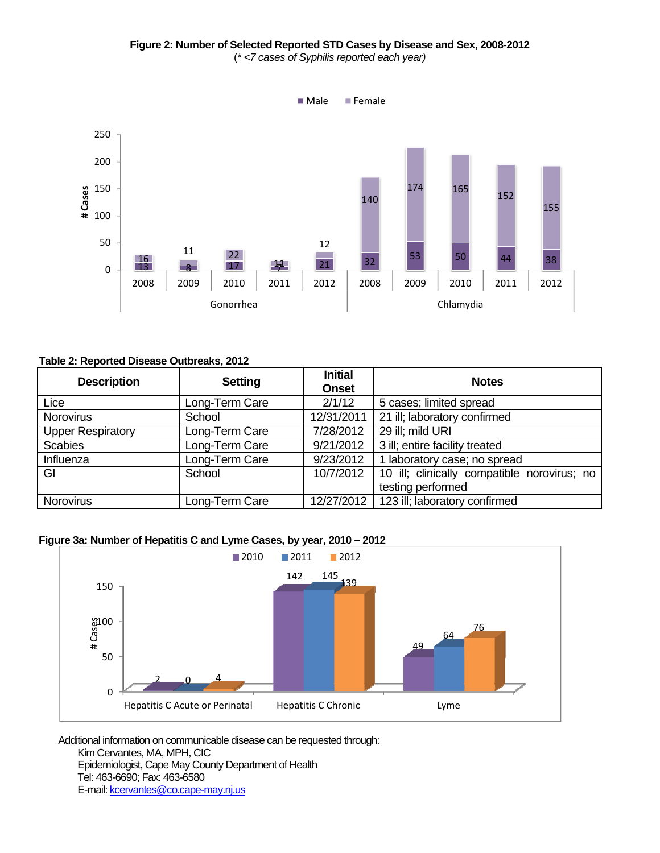

## **Table 2: Reported Disease Outbreaks, 2012**

| <b>Description</b>       | <b>Setting</b> | <b>Initial</b><br><b>Onset</b> | <b>Notes</b>                                |
|--------------------------|----------------|--------------------------------|---------------------------------------------|
| Lice                     | Long-Term Care | 2/1/12                         | 5 cases; limited spread                     |
| <b>Norovirus</b>         | School         | 12/31/2011                     | 21 ill; laboratory confirmed                |
| <b>Upper Respiratory</b> | Long-Term Care | 7/28/2012                      | 29 ill; mild URI                            |
| <b>Scabies</b>           | Long-Term Care | 9/21/2012                      | 3 ill; entire facility treated              |
| Influenza                | Long-Term Care | 9/23/2012                      | laboratory case; no spread                  |
| GI                       | School         | 10/7/2012                      | 10 ill; clinically compatible norovirus; no |
|                          |                |                                | testing performed                           |
| <b>Norovirus</b>         | Long-Term Care | 12/27/2012                     | 123 ill; laboratory confirmed               |

## **Figure 3a: Number of Hepatitis C and Lyme Cases, by year, 2010 – 2012**



Additional information on communicable disease can be requested through: Kim Cervantes, MA, MPH, CIC Epidemiologist, Cape May County Department of Health Tel: 463-6690; Fax: 463-6580

E-mail: kcervantes@co.cape-may.nj.us